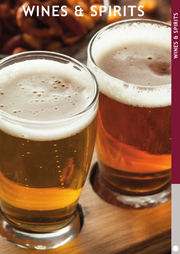# WINES & SPIRITS **WINES & SPIRITS**

**RANCO** 

## **WINES & SPIRITS**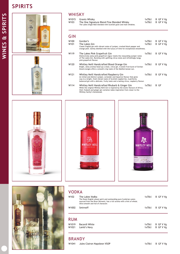### **SPIRITS**





#### **WHISKY**

| W1015 | Grants Whisky                                                        | 1x70cl B GF V Vg |
|-------|----------------------------------------------------------------------|------------------|
| W103  | The One Signature Blend Fine Blended Whisky                          | 1x70cl B GFV Vg  |
|       | The Lakes Single Malt blended with Scottish grain and malt whiskies. |                  |

#### GIN

| ---                      |                                                                                                                                                                                                                                                                                            |                  |                        |
|--------------------------|--------------------------------------------------------------------------------------------------------------------------------------------------------------------------------------------------------------------------------------------------------------------------------------------|------------------|------------------------|
| W100<br>W <sub>101</sub> | Gordon's<br>The Lakes Gin<br>Classic English gin with vibrant notes of juniper, cracked black pepper and<br>orange peel. Gently distilled with the luxury of time for exceptional smoothness.                                                                                              | 1x70cl<br>1x70cl | B GF V Vg<br>B GF V Vg |
| W119                     | The Lakes Pink Grapefruit Gin<br>Distinctively zesty pink grapefruit vigour meets the resounding juniper notes<br>of The Lakes Gin. Bursting with uplifting citrus notes and refreshingly tangy<br>pink grapefruit flavour.                                                                | 1x70cl           | B GF V Vg              |
| W120                     | Whitley Neill Handcrafted Blood Orange Gin<br>Bright, zesty aromas head up a clean, citrus gin. A sweet fruit burst of Sicilian<br>blood oranges offers a smooth crisp taste of the Mediterranean sun.                                                                                     | 1x70cl           | B GF V Vg              |
| W121                     | Whitley Neill Handcrafted Raspberry Gin<br>An initial and distinct juniper, coriander and liquorice flavour that gives<br>way to a bright, fresh vibrant taste of Scottish raspberries. A perfectly<br>balanced gin with a delicate, fruity taste and a lasting citrus, raspberry flavour. | 1x70cl           | B GF V Vg              |
| W114                     | Whitley Neill Handcrafted Rhubarb & Ginger Gin<br>While the original Whitley Neill Gin is inspired by the exotic flavours of Africa,<br>their rhubarb and ginger gin variation takes inspiration from closer to the<br>Whitley family's homestead.                                         | 1x70cl           | B GF                   |







#### VODKA

| W102              | The Lakes Vodka<br>The finest English wheat spirit and outstanding pure Cumbrian water,<br>sourced from the River Derwent, has a rich aroma with a hint of wheat.<br>Ultra-smooth and full of character. | 1x70cl | B GF V Vg |
|-------------------|----------------------------------------------------------------------------------------------------------------------------------------------------------------------------------------------------------|--------|-----------|
| W1002             | Smirnoff                                                                                                                                                                                                 | 1x70cl | B GF V Vg |
|                   |                                                                                                                                                                                                          |        |           |
| <b>RUM</b>        |                                                                                                                                                                                                          |        |           |
| W <sub>1019</sub> | Bacardi White                                                                                                                                                                                            | 1x70cl | B GF V Vg |
| W <sub>1021</sub> | Lamb's Navy                                                                                                                                                                                              | 1x70cl | B GF V Vg |
|                   |                                                                                                                                                                                                          |        |           |

#### BRANDY

W1041 Jules Clairon Napoleon VSOP 1x70cl B GF V Vg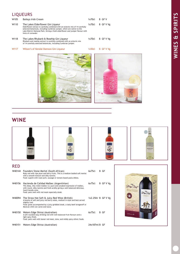#### LIQUEURS

| W <sub>105</sub> | <b>Baileys Irish Cream</b>                                                                                                                                                                                                                                                                                 | 1x70c1 | B GF V    |
|------------------|------------------------------------------------------------------------------------------------------------------------------------------------------------------------------------------------------------------------------------------------------------------------------------------------------------|--------|-----------|
| W110             | The Lakes Elderflower Gin Liqueur<br>Elderflower extract is carefully combined with an eclectic mix of 14 carefully<br>selected botanicals, including Cumbrian juniper, which are native to the<br>Lake District National Park. Giving a fresh elderflower and juniper flavour with<br>hints of coriander. | 1x70cl | B GF V Vg |
| W118             | The Lakes Rhubarb & Rosehip Gin Liqueur<br>Rhubarb and rosehip extract is carefully combined with an eclectic mix<br>of 14 carefully selected botanicals, including Cumbrian juniper.                                                                                                                      | 1x70cl | B GF V Vg |

#### W117 Wilson's of Kendal Damson Gin Liqueur 1x50cl B GF V Vg



#### **WINE**









#### RED

| W40144 | Founders Stone Merlot (South African)<br>Ruby red with ripe plum and berry fruits. This is a medium bodied soft merlot<br>with a smooth texture and silky tannins.<br>Food: superb with roast pork, sausage or tomato based pasta dishes.                                         | 6x75c1                 | B GF      |
|--------|-----------------------------------------------------------------------------------------------------------------------------------------------------------------------------------------------------------------------------------------------------------------------------------|------------------------|-----------|
| W40156 | Hacienda de Calidad Malbec (Argentinian)<br>This deep, inky violet malbec is a pure and unoaked expression of malbec,<br>with round, silky tannins and fresh acidity giving a well balanced delicious,<br>food-friendly wine.<br>Food: pairs well with red meat especially steak. | 6x75c                  | B GF V Vg |
| W40094 | The Straw Hat Soft & Juicy Red Wine (British)<br>A bounty of soft and juicy red berry notes, medium in style and best served<br>slightly cool.<br>Food: great accompanied by a juicy griddled steak, a tasty beef stroganoff or<br>Mexican chilli con carne and tacos.            | $1x2.25$ ltr B GF V Vg |           |
| W40150 | Waters Edge Shiraz (Australian)<br>A soft rounded easy drinking red with well balanced fruit flavours and a<br>light spicy finish.<br>Food: pairs well with leaner red meat, stew, and mildly spicy ethnic foods.                                                                 | 6x75c                  | B GF      |
| W40151 | Waters Edge Shiraz (Australian)                                                                                                                                                                                                                                                   | 24x187ml B GF          |           |

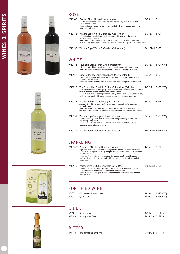





| W40146 | Fioroso Pinot Grigio Rose (Italian)<br>Gentle summer fruit aromas with delicate strawberry fruit flavours that<br>dance on the palate.<br>Food: perfect on its own or served alongside fresh green salads, seafood or<br>white meat dishes.                                                                             | 6x75cl        | B    |
|--------|-------------------------------------------------------------------------------------------------------------------------------------------------------------------------------------------------------------------------------------------------------------------------------------------------------------------------|---------------|------|
| W40148 | Waters Edge White Zinfandel (Californian)<br>Coral pink in colour. Delicate and refreshing with soft fruit flavours of<br>strawberries and peaches.<br>Food: delicious with creamy pasta dishes, fish, pork, bacon and pancetta,<br>mild cheeses, Asian cuisine, Indian cuisine and lamb. Also great as a dessert wine. | 6x75cl        | B GF |
| W40153 | Waters Edge White Zinfandel (Californian)                                                                                                                                                                                                                                                                               | 24x187ml B GF |      |

#### **WHITE**

| W40145 | Founders Stone Pinot Grigio (Moldovan)<br>Crisp and refreshing with citrus and green apple muted with subtle notes.<br>Food: pair with simply prepared seafood dishes, and lighter fish dishes.                                                                                                                                                    | 6x75cl                | B GF V Vg |
|--------|----------------------------------------------------------------------------------------------------------------------------------------------------------------------------------------------------------------------------------------------------------------------------------------------------------------------------------------------------|-----------------------|-----------|
| W40157 | Land of Plenty Sauvignon Blanc (New Zealand)<br>Inviting fresh lemon/lime and tropical fruit flavours on the palate with a<br>long lasting fruit finish.<br>Food: serve with rich fish such as salmon and tuna. Also great with shellfish.                                                                                                         | 6x75c1                | B GF      |
| W40095 | The Straw Hat Fresh & Fruity White Wine (British)<br>With an abundance of lush, juicy tropical notes, this fresh fragrant and fruity<br>style is medium bodied and delicious served chilled.<br>Food: delicious when accompanied by smoky chicken and bacon Caesar salad,<br>griddled tuna steak with lemon pepper or a creamy seafood pasta bake. | $1x2.25$ ltr B GFV Vg |           |
| W40147 | Waters Edge Chardonnay (Australian)<br>A classic dry white with vibrant aromas and flavours of apple, pear and<br>tropical fruits.<br>Food: serve with mild, buttery or creamy dishes. Also with meaty fish and<br>shellfish as well as subtly flavoured, simply seasoned poultry and pork dishes.                                                 | 6x75c                 | B GF      |
| W40152 | Waters Edge Sauvignon Blanc (Chilean)<br>A fresh clean dry white with hints of citrus and gooseberry on the palate<br>and a crisp fruity finish.<br>Food: pairs well with dishes containing green herbs including parsley,<br>rosemary, basil, cilantro or mint.                                                                                   | 6x75cl                | B GF V Vg |
| W40149 | Waters Edge Sauvignon Blanc (Chilean)                                                                                                                                                                                                                                                                                                              | 24x187ml B GF V Vg    |           |

#### SPARKLING

| W40142 Prosecco DOC Extra Dry San Tiziano<br>Light and straw yellow in colour with greenish reflections and a persistent<br>perlage. It has a pleasant fruity bouquet with a hint of green apple followed<br>by floral notes.<br>Food: excellent on its own as an aperitif. Ideal with all fish dishes, salami<br>and cured meats. It also goes well with light pasta and rice dishes and all<br>white meats. | 1x75c         | B GF |
|---------------------------------------------------------------------------------------------------------------------------------------------------------------------------------------------------------------------------------------------------------------------------------------------------------------------------------------------------------------------------------------------------------------|---------------|------|
| W40143 Prosecchino DOC Le Contesse Extra Dry<br>It has a fine and persistent perlage. It has an aromatic bouquet, fruity and<br>floral with reminiscences of acacia flowers and wisteria.                                                                                                                                                                                                                     | 24x200ml B GF |      |

Food: excellent as an aperitif and accompaniment to starters and summer main courses.





#### FORTIFIED WINE

| W2021 Old Westminster Cream | 1x1ltr B GF V Vg |
|-----------------------------|------------------|
| W201 OC Cream               | 1x70cl B GF V Vg |

#### CIDER

| W618 | Strongbow            | $1x2$ ltr $B$ GF V |  |  |
|------|----------------------|--------------------|--|--|
|      | W619B Strongbow Cans | $24x440m$ l B GF V |  |  |

#### BITTER

W6172 Boddingtons Draught 24x440ml B V